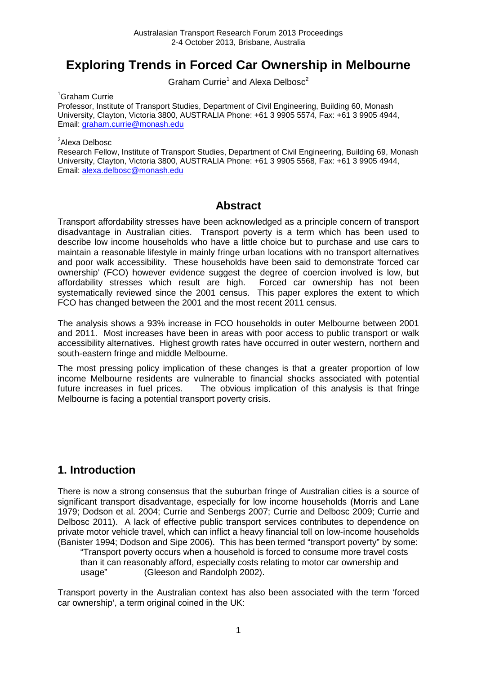# **Exploring Trends in Forced Car Ownership in Melbourne**

Graham Currie<sup>1</sup> and Alexa Delbosc<sup>2</sup>

<sup>1</sup>Graham Currie

Professor, Institute of Transport Studies, Department of Civil Engineering, Building 60, Monash University, Clayton, Victoria 3800, AUSTRALIA Phone: +61 3 9905 5574, Fax: +61 3 9905 4944, Email: [graham.currie@monash.edu](mailto:graham.currie@monash.edu)

<sup>2</sup>Alexa Delbosc

Research Fellow, Institute of Transport Studies, Department of Civil Engineering, Building 69, Monash University, Clayton, Victoria 3800, AUSTRALIA Phone: +61 3 9905 5568, Fax: +61 3 9905 4944, Email: [alexa.delbosc@monash.edu](mailto:alexa.delbosc@monash.edu)

#### **Abstract**

Transport affordability stresses have been acknowledged as a principle concern of transport disadvantage in Australian cities. Transport poverty is a term which has been used to describe low income households who have a little choice but to purchase and use cars to maintain a reasonable lifestyle in mainly fringe urban locations with no transport alternatives and poor walk accessibility. These households have been said to demonstrate 'forced car ownership' (FCO) however evidence suggest the degree of coercion involved is low, but affordability stresses which result are high. Forced car ownership has not been systematically reviewed since the 2001 census. This paper explores the extent to which FCO has changed between the 2001 and the most recent 2011 census.

The analysis shows a 93% increase in FCO households in outer Melbourne between 2001 and 2011. Most increases have been in areas with poor access to public transport or walk accessibility alternatives. Highest growth rates have occurred in outer western, northern and south-eastern fringe and middle Melbourne.

The most pressing policy implication of these changes is that a greater proportion of low income Melbourne residents are vulnerable to financial shocks associated with potential future increases in fuel prices. The obvious implication of this analysis is that fringe Melbourne is facing a potential transport poverty crisis.

### **1. Introduction**

There is now a strong consensus that the suburban fringe of Australian cities is a source of significant transport disadvantage, especially for low income households [\(Morris and Lane](#page-8-0)  [1979;](#page-8-0) [Dodson et al. 2004;](#page-8-1) [Currie and Senbergs 2007;](#page-8-2) [Currie and Delbosc 2009;](#page-8-3) [Currie and](#page-8-4)  [Delbosc 2011\)](#page-8-4). A lack of effective public transport services contributes to dependence on private motor vehicle travel, which can inflict a heavy financial toll on low-income households [\(Banister 1994;](#page-8-5) [Dodson and Sipe 2006\)](#page-8-6). This has been termed "transport poverty" by some:

"Transport poverty occurs when a household is forced to consume more travel costs than it can reasonably afford, especially costs relating to motor car ownership and usage" [\(Gleeson and Randolph 2002\)](#page-8-7).

<span id="page-0-0"></span>Transport poverty in the Australian context has also been associated with the term 'forced car ownership', a term original coined in the UK: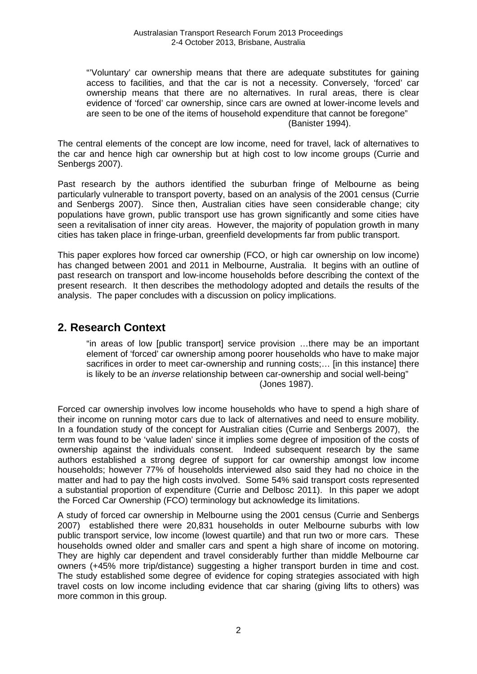"'Voluntary' car ownership means that there are adequate substitutes for gaining access to facilities, and that the car is not a necessity. Conversely, 'forced' car ownership means that there are no alternatives. In rural areas, there is clear evidence of 'forced' car ownership, since cars are owned at lower-income levels and are seen to be one of the items of household expenditure that cannot be foregone" [\(Banister 1994\)](#page-8-5).

The central elements of the concept are low income, need for travel, lack of alternatives to the car and hence high car ownership but at high cost to low income groups [\(Currie and](#page-8-2)  [Senbergs 2007\)](#page-8-2).

Past research by the authors identified the suburban fringe of Melbourne as being particularly vulnerable to transport poverty, based on an analysis of the 2001 census [\(Currie](#page-8-2)  [and Senbergs 2007\)](#page-8-2). Since then, Australian cities have seen considerable change; city populations have grown, public transport use has grown significantly and some cities have seen a revitalisation of inner city areas. However, the majority of population growth in many cities has taken place in fringe-urban, greenfield developments far from public transport.

This paper explores how forced car ownership (FCO, or high car ownership on low income) has changed between 2001 and 2011 in Melbourne, Australia. It begins with an outline of past research on transport and low-income households before describing the context of the present research. It then describes the methodology adopted and details the results of the analysis. The paper concludes with a discussion on policy implications.

#### **2. Research Context**

"in areas of low [public transport] service provision …there may be an important element of 'forced' car ownership among poorer households who have to make major sacrifices in order to meet car-ownership and running costs;… [in this instance] there is likely to be an *inverse* relationship between car-ownership and social well-being" [\(Jones 1987\)](#page-8-8).

Forced car ownership involves low income households who have to spend a high share of their income on running motor cars due to lack of alternatives and need to ensure mobility. In a foundation study of the concept for Australian cities [\(Currie and Senbergs 2007\)](#page-8-2), the term was found to be 'value laden' since it implies some degree of imposition of the costs of ownership against the individuals consent. Indeed subsequent research by the same authors established a strong degree of support for car ownership amongst low income households; however 77% of households interviewed also said they had no choice in the matter and had to pay the high costs involved. Some 54% said transport costs represented a substantial proportion of expenditure [\(Currie and Delbosc 2011\)](#page-8-4). In this paper we adopt the Forced Car Ownership (FCO) terminology but acknowledge its limitations.

A study of forced car ownership in Melbourne using the 2001 census [\(Currie and Senbergs](#page-8-2)  [2007\)](#page-8-2) established there were 20,831 households in outer Melbourne suburbs with low public transport service, low income (lowest quartile) and that run two or more cars. These households owned older and smaller cars and spent a high share of income on motoring. They are highly car dependent and travel considerably further than middle Melbourne car owners (+45% more trip/distance) suggesting a higher transport burden in time and cost. The study established some degree of evidence for coping strategies associated with high travel costs on low income including evidence that car sharing (giving lifts to others) was more common in this group.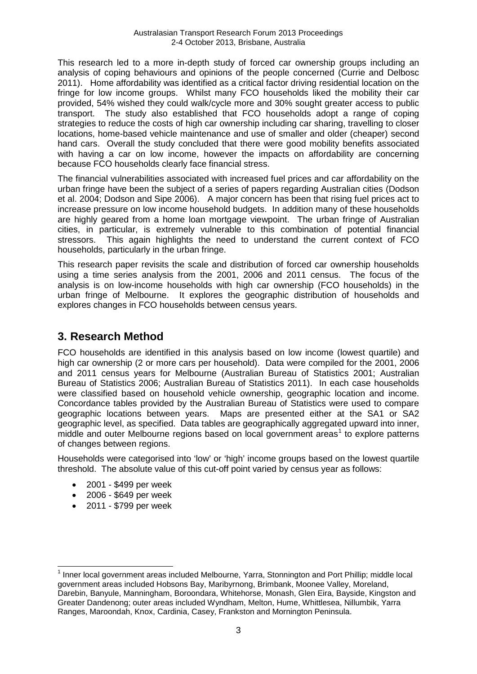This research led to a more in-depth study of forced car ownership groups including an analysis of coping behaviours and opinions of the people concerned [\(Currie and Delbosc](#page-8-4)  [2011\)](#page-8-4). Home affordability was identified as a critical factor driving residential location on the fringe for low income groups. Whilst many FCO households liked the mobility their car provided, 54% wished they could walk/cycle more and 30% sought greater access to public transport. The study also established that FCO households adopt a range of coping strategies to reduce the costs of high car ownership including car sharing, travelling to closer locations, home-based vehicle maintenance and use of smaller and older (cheaper) second hand cars. Overall the study concluded that there were good mobility benefits associated with having a car on low income, however the impacts on affordability are concerning because FCO households clearly face financial stress.

The financial vulnerabilities associated with increased fuel prices and car affordability on the urban fringe have been the subject of a series of papers regarding Australian cities [\(Dodson](#page-8-1)  [et al. 2004;](#page-8-1) [Dodson and Sipe 2006\)](#page-8-6). A major concern has been that rising fuel prices act to increase pressure on low income household budgets. In addition many of these households are highly geared from a home loan mortgage viewpoint. The urban fringe of Australian cities, in particular, is extremely vulnerable to this combination of potential financial stressors. This again highlights the need to understand the current context of FCO households, particularly in the urban fringe.

This research paper revisits the scale and distribution of forced car ownership households using a time series analysis from the 2001, 2006 and 2011 census. The focus of the analysis is on low-income households with high car ownership (FCO households) in the urban fringe of Melbourne. It explores the geographic distribution of households and explores changes in FCO households between census years.

## **3. Research Method**

FCO households are identified in this analysis based on low income (lowest quartile) and high car ownership (2 or more cars per household). Data were compiled for the 2001, 2006 and 2011 census years for Melbourne [\(Australian Bureau of Statistics 2001;](#page-8-9) [Australian](#page-8-10)  [Bureau of Statistics 2006;](#page-8-10) [Australian Bureau of Statistics 2011\)](#page-8-11). In each case households were classified based on household vehicle ownership, geographic location and income. Concordance tables provided by the Australian Bureau of Statistics were used to compare geographic locations between years. Maps are presented either at the SA1 or SA2 geographic level, as specified. Data tables are geographically aggregated upward into inner, middle and outer Melbourne regions based on local government areas<sup>[1](#page-0-0)</sup> to explore patterns of changes between regions.

Households were categorised into 'low' or 'high' income groups based on the lowest quartile threshold. The absolute value of this cut-off point varied by census year as follows:

- 2001 \$499 per week
- 2006 \$649 per week
- 2011 \$799 per week

<span id="page-2-0"></span> <sup>1</sup> Inner local government areas included Melbourne, Yarra, Stonnington and Port Phillip; middle local government areas included Hobsons Bay, Maribyrnong, Brimbank, Moonee Valley, Moreland, Darebin, Banyule, Manningham, Boroondara, Whitehorse, Monash, Glen Eira, Bayside, Kingston and Greater Dandenong; outer areas included Wyndham, Melton, Hume, Whittlesea, Nillumbik, Yarra Ranges, Maroondah, Knox, Cardinia, Casey, Frankston and Mornington Peninsula.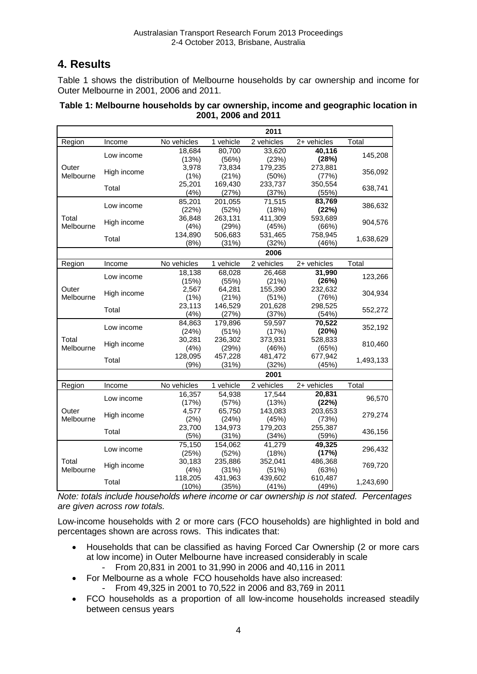# **4. Results**

Table 1 shows the distribution of Melbourne households by car ownership and income for Outer Melbourne in 2001, 2006 and 2011.

#### **Table 1: Melbourne households by car ownership, income and geographic location in 2001, 2006 and 2011**

|                    |                      |                 |                  | 2011             |                  |           |  |
|--------------------|----------------------|-----------------|------------------|------------------|------------------|-----------|--|
| Region             | Income               | No vehicles     | 1 vehicle        | 2 vehicles       | 2+ vehicles      | Total     |  |
| Outer              | Low income           | 18,684          | 80,700           | 33,620           | 40,116           |           |  |
|                    |                      | (13%)           | (56%)            | (23%)            | (28%)            | 145,208   |  |
|                    | High income          | 3,978           | 73,834           | 179,235          | 273,881          | 356,092   |  |
| Melbourne          |                      | (1%)            | (21%)            | (50%)            | (77%)            |           |  |
|                    | Total                | 25,201          | 169,430          | 233,737          | 350,554          | 638,741   |  |
|                    |                      | (4%)            | (27%)            | (37%)            | (55%)            |           |  |
| Total<br>Melbourne | Low income           | 85,201          | 201,055          | 71,515           | 83,769           | 386,632   |  |
|                    | High income          | (22%)<br>36,848 | (52%)            | (18%)<br>411,309 | (22%)<br>593,689 |           |  |
|                    |                      | (4%)            | 263,131<br>(29%) | (45%)            | (66%)            | 904,576   |  |
|                    | Total                | 134.890         | 506,683          | 531,465          | 758,945          |           |  |
|                    |                      | (8%)            | (31%)            | (32%)            | (46%)            | 1,638,629 |  |
|                    |                      |                 |                  | 2006             |                  |           |  |
| Region             | Income               | No vehicles     | 1 vehicle        | 2 vehicles       | 2+ vehicles      | Total     |  |
|                    | Low income           | 18,138          | 68.028           | 26.468           | 31,990           | 123,266   |  |
|                    |                      | (15%)           | (55%)            | (21%)            | (26%)            |           |  |
| Outer              | High income          | 2,567           | 64,281           | 155,390          | 232,632          | 304,934   |  |
| Melbourne          |                      | (1%)            | (21%)            | (51%)            | (76%)            |           |  |
|                    | Total                | 23,113          | 146,529          | 201,628          | 298,525          | 552,272   |  |
|                    |                      | (4% )           | (27%)            | (37%)            | (54%)            |           |  |
|                    | Low income           | 84.863          | 179.896          | 59,597           | 70.522           | 352,192   |  |
|                    |                      | (24%)           | (51%)            | (17%)            | (20%)            |           |  |
| Total              | High income<br>Total | 30,281          | 236,302          | 373,931          | 528,833          | 810,460   |  |
| Melbourne          |                      | (4%)            | (29%)            | (46%)            | (65%)            |           |  |
|                    |                      | 128,095         | 457,228          | 481,472          | 677,942          | 1,493,133 |  |
|                    |                      | (9% )           | (31%)            | (32%)            | (45%)            |           |  |
|                    |                      |                 |                  | 2001             |                  |           |  |
| Region             | Income               | No vehicles     | 1 vehicle        | 2 vehicles       | 2+ vehicles      | Total     |  |
|                    | Low income           | 16,357          | 54,938           | 17,544           | 20,831           | 96,570    |  |
| Outer              |                      | (17%)<br>4.577  | (57%)<br>65.750  | (13%)<br>143.083 | (22%)            |           |  |
| Melbourne          | High income<br>Total | (2%)            | (24%)            | (45%)            | 203,653<br>(73%) | 279,274   |  |
|                    |                      | 23,700          | 134,973          | 179,203          | 255,387          |           |  |
|                    |                      | (5%)            | (31%)            | (34%)            | (59%)            | 436,156   |  |
|                    | Low income           | 75,150          | 154,062          | 41.279           | 49,325           |           |  |
|                    |                      | (25%)           | (52%)            | (18%)            | (17%)            | 296,432   |  |
| Total              | High income          | 30,183          | 235,886          | 352,041          | 486,368          |           |  |
| Melbourne          |                      | (4%)            | (31%)            | (51%)            | (63%)            | 769,720   |  |
|                    | Total                | 118,205         | 431,963          | 439,602          | 610,487          | 1,243,690 |  |
|                    |                      | (10%)           | (35%)            | (41%)            | (49%)            |           |  |

*Note: totals include households where income or car ownership is not stated. Percentages are given across row totals.*

Low-income households with 2 or more cars (FCO households) are highlighted in bold and percentages shown are across rows. This indicates that:

- Households that can be classified as having Forced Car Ownership (2 or more cars at low income) in Outer Melbourne have increased considerably in scale
	- From 20,831 in 2001 to 31,990 in 2006 and 40,116 in 2011
- For Melbourne as a whole FCO households have also increased:
	- From 49,325 in 2001 to 70,522 in 2006 and 83,769 in 2011
- FCO households as a proportion of all low-income households increased steadily between census years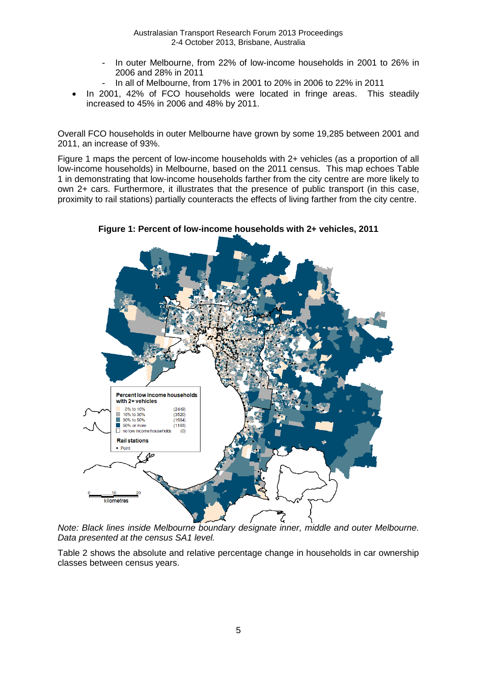- In outer Melbourne, from 22% of low-income households in 2001 to 26% in 2006 and 28% in 2011
- In all of Melbourne, from 17% in 2001 to 20% in 2006 to 22% in 2011
- In 2001, 42% of FCO households were located in fringe areas. This steadily increased to 45% in 2006 and 48% by 2011.

Overall FCO households in outer Melbourne have grown by some 19,285 between 2001 and 2011, an increase of 93%.

Figure 1 maps the percent of low-income households with 2+ vehicles (as a proportion of all low-income households) in Melbourne, based on the 2011 census. This map echoes Table 1 in demonstrating that low-income households farther from the city centre are more likely to own 2+ cars. Furthermore, it illustrates that the presence of public transport (in this case, proximity to rail stations) partially counteracts the effects of living farther from the city centre.



**Figure 1: Percent of low-income households with 2+ vehicles, 2011**

*Note: Black lines inside Melbourne boundary designate inner, middle and outer Melbourne. Data presented at the census SA1 level.*

Table 2 shows the absolute and relative percentage change in households in car ownership classes between census years.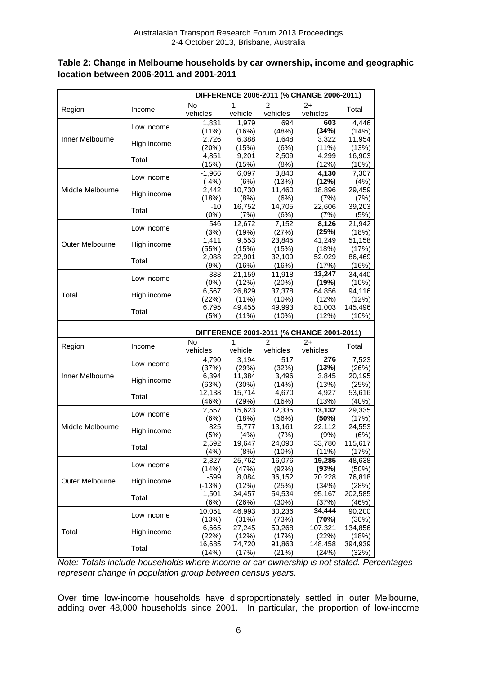| Table 2: Change in Melbourne households by car ownership, income and geographic |  |
|---------------------------------------------------------------------------------|--|
| location between 2006-2011 and 2001-2011                                        |  |

|                  |                           | DIFFERENCE 2006-2011 (% CHANGE 2006-2011) |                 |                 |                                           |                  |  |
|------------------|---------------------------|-------------------------------------------|-----------------|-----------------|-------------------------------------------|------------------|--|
| Region           | Income                    | <b>No</b>                                 | 1               | $\mathfrak{p}$  | $2+$                                      | Total            |  |
|                  |                           | vehicles                                  | vehicle         | vehicles        | vehicles                                  |                  |  |
|                  | Low income                | 1,831                                     | 1,979           | 694             | 603                                       | 4,446            |  |
|                  |                           | (11%)                                     | (16%)           | (48%)           | (34%)                                     | (14%)            |  |
| Inner Melbourne  | High income<br>Total      | 2,726                                     | 6,388           | 1,648           | 3,322                                     | 11,954           |  |
|                  |                           | (20%)                                     | (15%)           | (6%)            | $(11\%)$                                  | (13%)            |  |
|                  |                           | 4,851                                     | 9,201           | 2,509           | 4,299                                     | 16,903           |  |
|                  |                           | (15%)                                     | (15%)           | (8%)            | (12%)                                     | (10%)            |  |
|                  | Low income                | $-1,966$                                  | 6.097           | 3,840           | 4,130                                     | 7,307            |  |
|                  |                           | $(-4%)$                                   | (6%)            | (13%)           | (12%)                                     | (4%)             |  |
| Middle Melbourne | High income               | 2,442                                     | 10,730          | 11,460          | 18,896                                    | 29,459           |  |
|                  |                           | (18%)                                     | (8%)            | (6%)            | (7%)                                      | (7%)             |  |
|                  | Total                     | $-10$                                     | 16,752          | 14,705          | 22,606                                    | 39,203           |  |
|                  |                           | (0%)                                      | (7%)            | (6%)            | (7%)                                      | (5%)             |  |
|                  | Low income<br>High income | 546                                       | 12,672          | 7,152           | 8,126                                     | 21,942           |  |
|                  |                           | (3%)                                      | (19%)           | (27%)           | (25%)                                     | (18%)            |  |
| Outer Melbourne  |                           | 1,411                                     | 9,553           | 23,845          | 41,249                                    | 51,158           |  |
|                  |                           | (55%)                                     | (15%)           | (15%)           | (18%)                                     | (17%)            |  |
|                  | Total                     | 2,088                                     | 22,901          | 32,109          | 52,029                                    | 86,469           |  |
|                  |                           | (9%)                                      | (16%)           | (16%)           | (17%)                                     | (16%)            |  |
|                  | Low income                | 338                                       | 21,159          | 11,918          | 13,247                                    | 34,440           |  |
|                  |                           | (0%)                                      | (12%)           | (20%)           | (19%)                                     | (10%)            |  |
| Total            | High income               | 6,567                                     | 26,829          | 37,378          | 64,856                                    | 94,116           |  |
|                  |                           | (22%)                                     | $(11\%)$        | (10%)           | (12%)                                     | (12%)            |  |
|                  | Total                     | 6,795                                     | 49,455          | 49,993          | 81,003                                    | 145,496          |  |
|                  |                           | (5%)                                      | $(11\%)$        | (10%)           | (12%)                                     | (10%)            |  |
|                  |                           |                                           |                 |                 |                                           |                  |  |
|                  |                           |                                           |                 |                 |                                           |                  |  |
|                  |                           |                                           |                 |                 | DIFFERENCE 2001-2011 (% CHANGE 2001-2011) |                  |  |
| Region           | Income                    | $\overline{N}$                            | 1               | 2               | 2+                                        | Total            |  |
|                  |                           | vehicles                                  | vehicle         | vehicles        | vehicles                                  |                  |  |
|                  | Low income                | 4,790                                     | 3,194           | 517             | 276                                       | 7,523            |  |
|                  |                           | (37%)                                     | (29%)           | (32%)           | (13%)                                     | (26%)            |  |
| Inner Melbourne  | High income               | 6,394                                     | 11,384          | 3,496           | 3,845                                     | 20,195           |  |
|                  |                           | (63%)                                     | (30%)           | (14%)           | (13%)                                     | (25%)            |  |
|                  | Total                     | 12,138                                    | 15,714          | 4,670           | 4,927                                     | 53,616           |  |
|                  |                           | (46%)                                     | (29%)           | (16%)           | (13%)                                     | (40%)            |  |
|                  | Low income                | 2,557                                     | 15,623          | 12,335          | 13,132                                    | 29,335           |  |
|                  |                           | (6%)                                      | (18%)           | (56%)           | (50%)                                     | (17%)            |  |
| Middle Melbourne | High income               | 825                                       | 5,777           | 13,161          | 22,112                                    | 24,553           |  |
|                  |                           | (5%)                                      | (4%)            | (7%)            | (9% )                                     | (6%)             |  |
|                  | Total                     | 2,592                                     | 19,647          | 24,090          | 33,780                                    | 115,617          |  |
|                  |                           | (4% )                                     | (8%)            | (10%)           | (11%)                                     | (17%)            |  |
|                  | Low income                | 2,327                                     | 25,762          | 16,076          | 19,285                                    | 48,638           |  |
|                  |                           | (14%)                                     | (47%)           | (92%)           | (93%)                                     | $(50\%)$         |  |
| Outer Melbourne  | High income               | $-599$                                    | 8,084           | 36,152          | 70,228                                    | 76,818           |  |
|                  |                           | $(-13%)$                                  | (12%)           | (25%)           | (34%)                                     | (28%)            |  |
|                  | Total                     | 1,501                                     | 34,457          | 54,534          | 95,167                                    | 202,585          |  |
|                  |                           | (6%)                                      | (26%)           | (30%)           | (37%)                                     | (46%)            |  |
|                  | Low income                | 10,051                                    | 46,993          | 30,236          | 34,444                                    | 90,200           |  |
|                  |                           | (13%)                                     | (31%)           | (73%)           | (70%)                                     | (30%)            |  |
| Total            | High income               | 6,665                                     | 27,245          | 59,268          | 107,321                                   | 134,856          |  |
|                  | Total                     | (22%)<br>16,685                           | (12%)<br>74,720 | (17%)<br>91,863 | (22%)<br>148,458                          | (18%)<br>394,939 |  |

*Note: Totals include households where income or car ownership is not stated. Percentages represent change in population group between census years.*

Over time low-income households have disproportionately settled in outer Melbourne, adding over 48,000 households since 2001. In particular, the proportion of low-income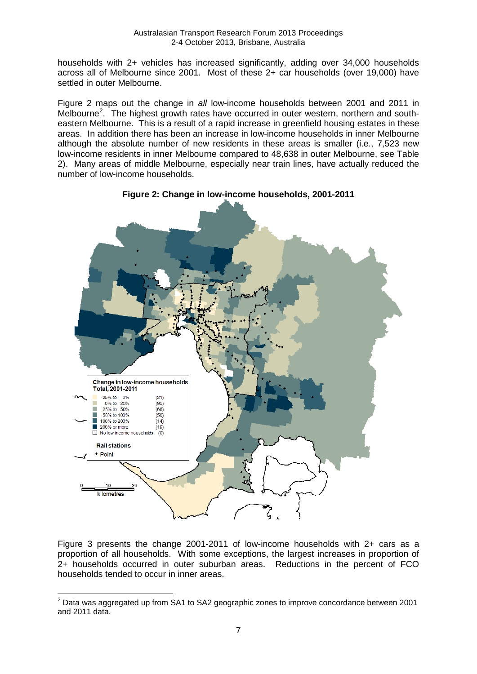households with 2+ vehicles has increased significantly, adding over 34,000 households across all of Melbourne since 2001. Most of these 2+ car households (over 19,000) have settled in outer Melbourne.

Figure 2 maps out the change in *all* low-income households between 2001 and 2011 in Melbourne<sup>[2](#page-2-0)</sup>. The highest growth rates have occurred in outer western, northern and southeastern Melbourne. This is a result of a rapid increase in greenfield housing estates in these areas. In addition there has been an increase in low-income households in inner Melbourne although the absolute number of new residents in these areas is smaller (i.e., 7,523 new low-income residents in inner Melbourne compared to 48,638 in outer Melbourne, see Table 2). Many areas of middle Melbourne, especially near train lines, have actually reduced the number of low-income households.



**Figure 2: Change in low-income households, 2001-2011**

Figure 3 presents the change 2001-2011 of low-income households with 2+ cars as a proportion of all households. With some exceptions, the largest increases in proportion of 2+ households occurred in outer suburban areas. Reductions in the percent of FCO households tended to occur in inner areas.

 $2$  Data was aggregated up from SA1 to SA2 geographic zones to improve concordance between 2001 and 2011 data.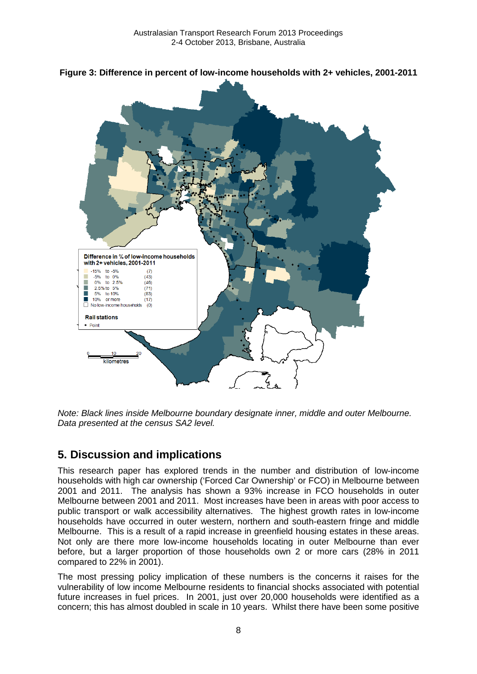



*Note: Black lines inside Melbourne boundary designate inner, middle and outer Melbourne. Data presented at the census SA2 level.*

### **5. Discussion and implications**

This research paper has explored trends in the number and distribution of low-income households with high car ownership ('Forced Car Ownership' or FCO) in Melbourne between 2001 and 2011. The analysis has shown a 93% increase in FCO households in outer Melbourne between 2001 and 2011. Most increases have been in areas with poor access to public transport or walk accessibility alternatives. The highest growth rates in low-income households have occurred in outer western, northern and south-eastern fringe and middle Melbourne. This is a result of a rapid increase in greenfield housing estates in these areas. Not only are there more low-income households locating in outer Melbourne than ever before, but a larger proportion of those households own 2 or more cars (28% in 2011 compared to 22% in 2001).

The most pressing policy implication of these numbers is the concerns it raises for the vulnerability of low income Melbourne residents to financial shocks associated with potential future increases in fuel prices. In 2001, just over 20,000 households were identified as a concern; this has almost doubled in scale in 10 years. Whilst there have been some positive